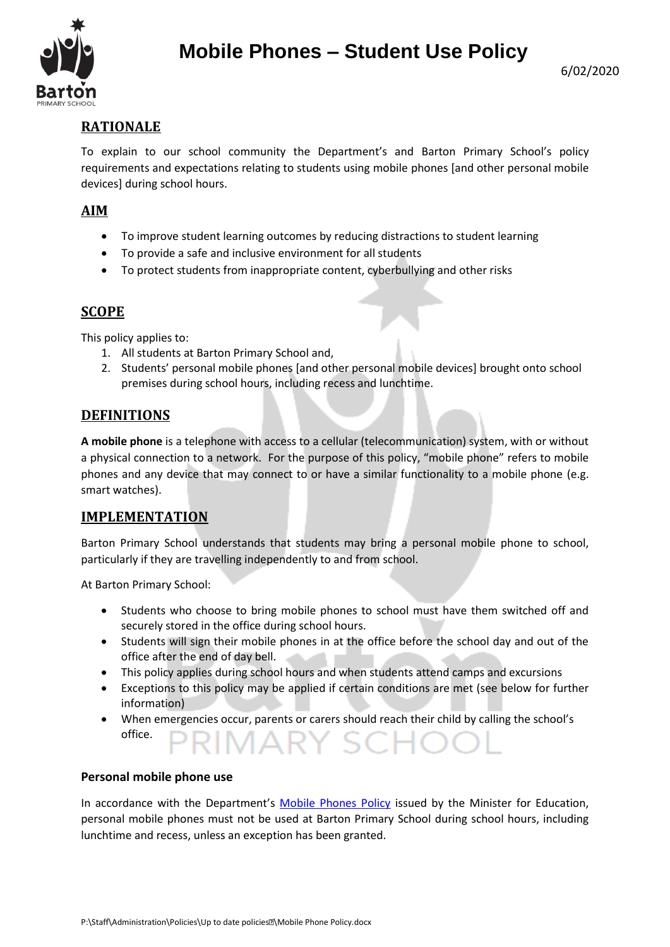

# **Mobile Phones – Student Use Policy**

## **RATIONALE**

To explain to our school community the Department's and Barton Primary School's policy requirements and expectations relating to students using mobile phones [and other personal mobile devices] during school hours.

## **AIM**

- To improve student learning outcomes by reducing distractions to student learning
- To provide a safe and inclusive environment for all students
- To protect students from inappropriate content, cyberbullying and other risks

## **SCOPE**

This policy applies to:

- 1. All students at Barton Primary School and,
- 2. Students' personal mobile phones [and other personal mobile devices] brought onto school premises during school hours, including recess and lunchtime.

## **DEFINITIONS**

**A mobile phone** is a telephone with access to a cellular (telecommunication) system, with or without a physical connection to a network. For the purpose of this policy, "mobile phone" refers to mobile phones and any device that may connect to or have a similar functionality to a mobile phone (e.g. smart watches).

## **IMPLEMENTATION**

Barton Primary School understands that students may bring a personal mobile phone to school, particularly if they are travelling independently to and from school.

At Barton Primary School:

- Students who choose to bring mobile phones to school must have them switched off and securely stored in the office during school hours.
- Students will sign their mobile phones in at the office before the school day and out of the office after the end of day bell.
- This policy applies during school hours and when students attend camps and excursions
- Exceptions to this policy may be applied if certain conditions are met (see below for further information)
- When emergencies occur, parents or carers should reach their child by calling the school's office. AR

#### **Personal mobile phone use**

In accordance with the Department's [Mobile Phones Policy](https://www.education.vic.gov.au/school/principals/spag/safety/Pages/mobilephones.aspx) issued by the Minister for Education, personal mobile phones must not be used at Barton Primary School during school hours, including lunchtime and recess, unless an exception has been granted.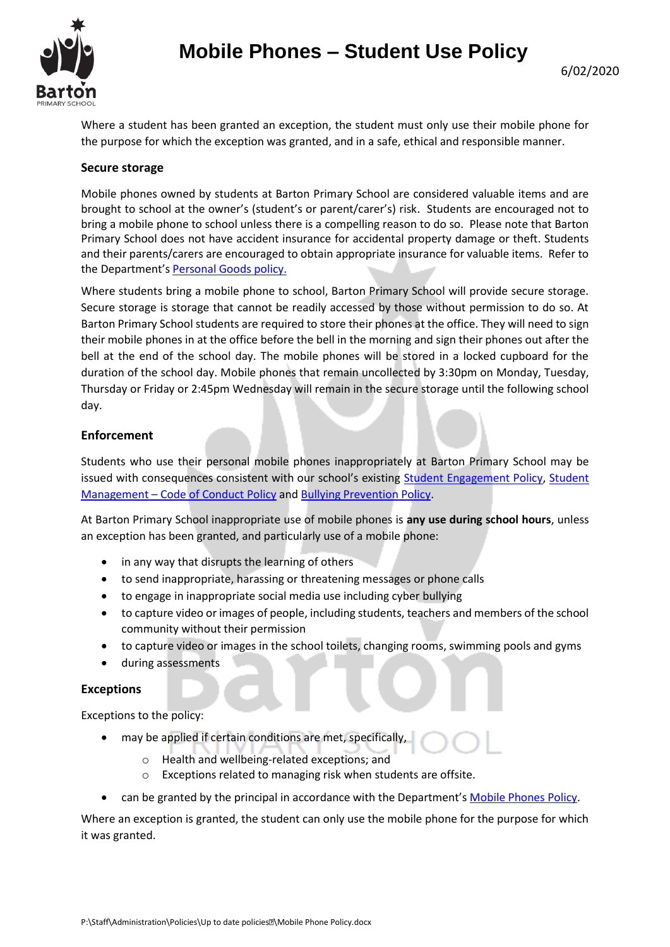

Where a student has been granted an exception, the student must only use their mobile phone for the purpose for which the exception was granted, and in a safe, ethical and responsible manner.

#### **Secure storage**

Mobile phones owned by students at Barton Primary School are considered valuable items and are brought to school at the owner's (student's or parent/carer's) risk. Students are encouraged not to bring a mobile phone to school unless there is a compelling reason to do so. Please note that Barton Primary School does not have accident insurance for accidental property damage or theft. Students and their parents/carers are encouraged to obtain appropriate insurance for valuable items. Refer to the Department's [Personal Goods](https://www.education.vic.gov.au/school/principals/spag/governance/pages/personalgoods.aspx) policy.

Where students bring a mobile phone to school, Barton Primary School will provide secure storage. Secure storage is storage that cannot be readily accessed by those without permission to do so. At Barton Primary School students are required to store their phones at the office. They will need to sign their mobile phones in at the office before the bell in the morning and sign their phones out after the bell at the end of the school day. The mobile phones will be stored in a locked cupboard for the duration of the school day. Mobile phones that remain uncollected by 3:30pm on Monday, Tuesday, Thursday or Friday or 2:45pm Wednesday will remain in the secure storage until the following school day.

#### **Enforcement**

Students who use their personal mobile phones inappropriately at Barton Primary School may be issued with consequences consistent with our school's existing [Student Engagement Policy,](file://///5560sfs01.services.education.vic.gov.au/Public/Staff/Administration/Policies/Up%20to%20date%20policies/Student%20Enrolment%20policy.doc) Student Management – [Code of Conduct Policy](file://///5560sfs01.services.education.vic.gov.au/Public/Staff/Administration/Policies/Up%20to%20date%20policies/Student%20Management%20-%20Code%20of%20Conduct%20policy.docx) and Bul[lying Prevention Policy.](file://///5560sfs01.services.education.vic.gov.au/Public/Staff/Administration/Policies/Up%20to%20date%20policies/Bullying%20Prevention%20policy.docx)

At Barton Primary School inappropriate use of mobile phones is **any use during school hours**, unless an exception has been granted, and particularly use of a mobile phone:

- in any way that disrupts the learning of others
- to send inappropriate, harassing or threatening messages or phone calls
- to engage in inappropriate social media use including cyber bullying
- to capture video or images of people, including students, teachers and members of the school community without their permission
- to capture video or images in the school toilets, changing rooms, swimming pools and gyms
- during assessments

#### **Exceptions**

Exceptions to the policy:

- may be applied if certain conditions are met, specifically,
	- o Health and wellbeing-related exceptions; and
	- o Exceptions related to managing risk when students are offsite.
- can be granted by the principal in accordance with the Department's [Mobile Phones Policy.](https://www.education.vic.gov.au/school/principals/spag/safety/Pages/mobilephones.aspx)

Where an exception is granted, the student can only use the mobile phone for the purpose for which it was granted.